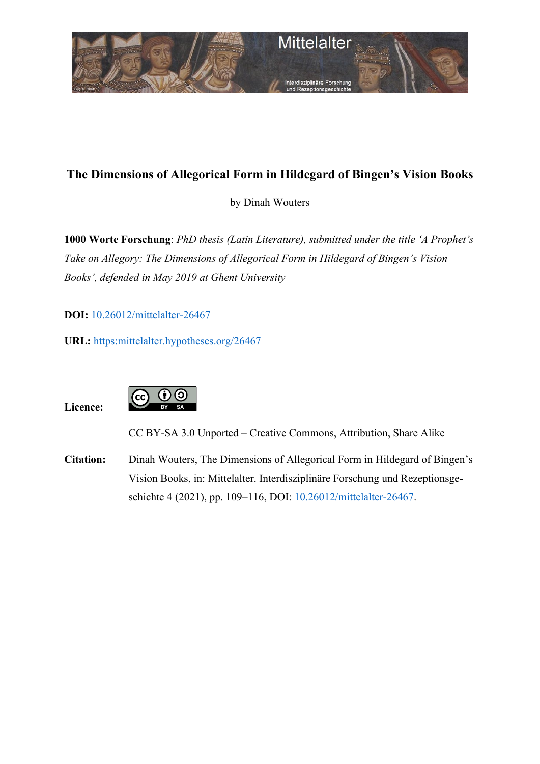

# **The Dimensions of Allegorical Form in Hildegard of Bingen's Vision Books**

by Dinah Wouters

**1000 Worte Forschung**: *PhD thesis (Latin Literature), submitted under the title 'A Prophet's Take on Allegory: The Dimensions of Allegorical Form in Hildegard of Bingen's Vision Books', defended in May 2019 at Ghent University*

**DOI:** [10.26012/mittelalter-26467](https://www.doi.org/10.26012/mittelalter-26467)

**URL:** [https:mittelalter.hypotheses.org/26467](https://mittelalter.hypotheses.org/26467)

**Licence:** 



CC BY-SA 3.0 Unported – Creative Commons, Attribution, Share Alike

**Citation:** Dinah Wouters, The Dimensions of Allegorical Form in Hildegard of Bingen's Vision Books, in: Mittelalter. Interdisziplinäre Forschung und Rezeptionsge-schichte 4 (2021), pp. 109-116, DOI: [10.26012/mittelalter-26467.](https://www.doi.org/10.26012/mittelalter-26467)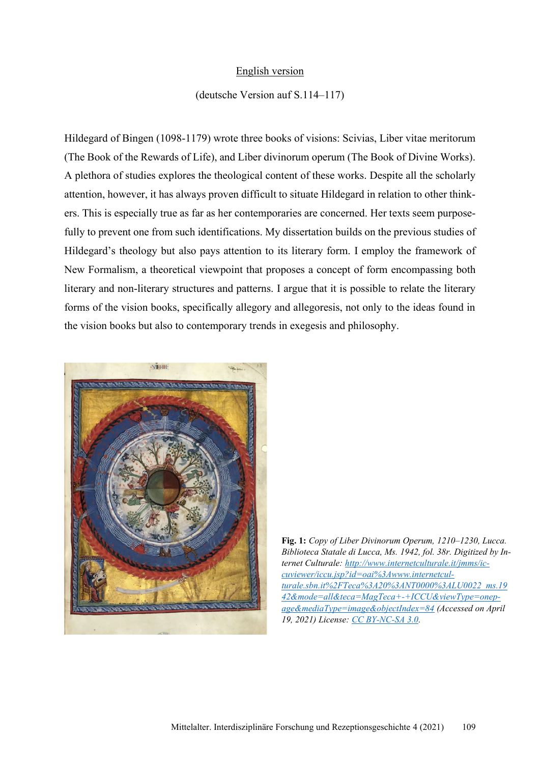## English version

## (deutsche Version auf S.114–117)

Hildegard of Bingen (1098-1179) wrote three books of visions: Scivias, Liber vitae meritorum (The Book of the Rewards of Life), and Liber divinorum operum (The Book of Divine Works). A plethora of studies explores the theological content of these works. Despite all the scholarly attention, however, it has always proven difficult to situate Hildegard in relation to other thinkers. This is especially true as far as her contemporaries are concerned. Her texts seem purposefully to prevent one from such identifications. My dissertation builds on the previous studies of Hildegard's theology but also pays attention to its literary form. I employ the framework of New Formalism, a theoretical viewpoint that proposes a concept of form encompassing both literary and non-literary structures and patterns. I argue that it is possible to relate the literary forms of the vision books, specifically allegory and allegoresis, not only to the ideas found in the vision books but also to contemporary trends in exegesis and philosophy.



**Fig. 1:** *Copy of Liber Divinorum Operum, 1210–1230, Lucca. Biblioteca Statale di Lucca, Ms. 1942, fol. 38r. Digitized by Internet Culturale: [http://www.internetculturale.it/jmms/ic](http://www.internetculturale.it/jmms/iccuviewer/iccu.jsp?id=oai%3Awww.internetculturale.sbn.it%2FTeca%3A20%3ANT0000%3ALU0022_ms.1942&mode=all&teca=MagTeca+-+ICCU&viewType=onepage&mediaType=image&objectIndex=84)[cuviewer/iccu.jsp?id=oai%3Awww.internetcul](http://www.internetculturale.it/jmms/iccuviewer/iccu.jsp?id=oai%3Awww.internetculturale.sbn.it%2FTeca%3A20%3ANT0000%3ALU0022_ms.1942&mode=all&teca=MagTeca+-+ICCU&viewType=onepage&mediaType=image&objectIndex=84)[turale.sbn.it%2FTeca%3A20%3ANT0000%3ALU0022\\_ms.19](http://www.internetculturale.it/jmms/iccuviewer/iccu.jsp?id=oai%3Awww.internetculturale.sbn.it%2FTeca%3A20%3ANT0000%3ALU0022_ms.1942&mode=all&teca=MagTeca+-+ICCU&viewType=onepage&mediaType=image&objectIndex=84) [42&mode=all&teca=MagTeca+-+ICCU&viewType=onep](http://www.internetculturale.it/jmms/iccuviewer/iccu.jsp?id=oai%3Awww.internetculturale.sbn.it%2FTeca%3A20%3ANT0000%3ALU0022_ms.1942&mode=all&teca=MagTeca+-+ICCU&viewType=onepage&mediaType=image&objectIndex=84)[age&mediaType=image&objectIndex=84](http://www.internetculturale.it/jmms/iccuviewer/iccu.jsp?id=oai%3Awww.internetculturale.sbn.it%2FTeca%3A20%3ANT0000%3ALU0022_ms.1942&mode=all&teca=MagTeca+-+ICCU&viewType=onepage&mediaType=image&objectIndex=84) (Accessed on April 19, 2021) License: [CC BY-NC-SA 3.0.](https://creativecommons.org/licenses/by-nc-sa/3.0/it/deed.it)*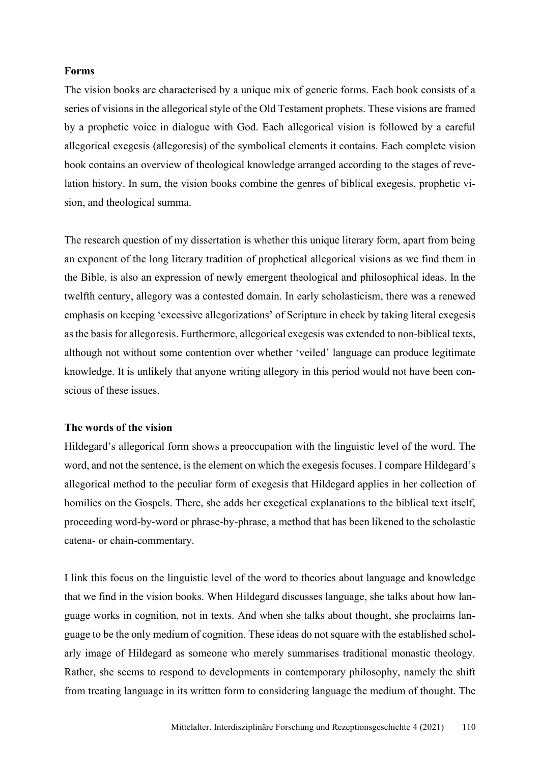## **Forms**

The vision books are characterised by a unique mix of generic forms. Each book consists of a series of visions in the allegorical style of the Old Testament prophets. These visions are framed by a prophetic voice in dialogue with God. Each allegorical vision is followed by a careful allegorical exegesis (allegoresis) of the symbolical elements it contains. Each complete vision book contains an overview of theological knowledge arranged according to the stages of revelation history. In sum, the vision books combine the genres of biblical exegesis, prophetic vision, and theological summa.

The research question of my dissertation is whether this unique literary form, apart from being an exponent of the long literary tradition of prophetical allegorical visions as we find them in the Bible, is also an expression of newly emergent theological and philosophical ideas. In the twelfth century, allegory was a contested domain. In early scholasticism, there was a renewed emphasis on keeping 'excessive allegorizations' of Scripture in check by taking literal exegesis as the basis for allegoresis. Furthermore, allegorical exegesis was extended to non-biblical texts, although not without some contention over whether 'veiled' language can produce legitimate knowledge. It is unlikely that anyone writing allegory in this period would not have been conscious of these issues.

#### **The words of the vision**

Hildegard's allegorical form shows a preoccupation with the linguistic level of the word. The word, and not the sentence, is the element on which the exegesis focuses. I compare Hildegard's allegorical method to the peculiar form of exegesis that Hildegard applies in her collection of homilies on the Gospels. There, she adds her exegetical explanations to the biblical text itself, proceeding word-by-word or phrase-by-phrase, a method that has been likened to the scholastic catena- or chain-commentary.

I link this focus on the linguistic level of the word to theories about language and knowledge that we find in the vision books. When Hildegard discusses language, she talks about how language works in cognition, not in texts. And when she talks about thought, she proclaims language to be the only medium of cognition. These ideas do not square with the established scholarly image of Hildegard as someone who merely summarises traditional monastic theology. Rather, she seems to respond to developments in contemporary philosophy, namely the shift from treating language in its written form to considering language the medium of thought. The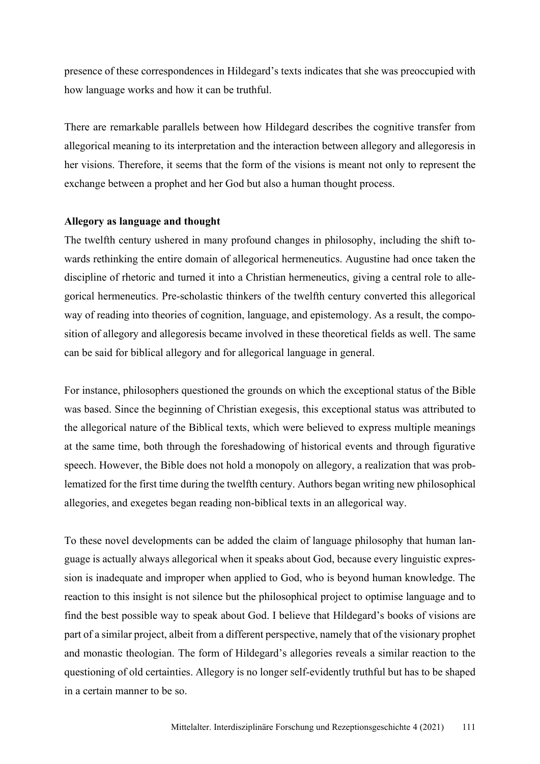presence of these correspondences in Hildegard's texts indicates that she was preoccupied with how language works and how it can be truthful.

There are remarkable parallels between how Hildegard describes the cognitive transfer from allegorical meaning to its interpretation and the interaction between allegory and allegoresis in her visions. Therefore, it seems that the form of the visions is meant not only to represent the exchange between a prophet and her God but also a human thought process.

## **Allegory as language and thought**

The twelfth century ushered in many profound changes in philosophy, including the shift towards rethinking the entire domain of allegorical hermeneutics. Augustine had once taken the discipline of rhetoric and turned it into a Christian hermeneutics, giving a central role to allegorical hermeneutics. Pre-scholastic thinkers of the twelfth century converted this allegorical way of reading into theories of cognition, language, and epistemology. As a result, the composition of allegory and allegoresis became involved in these theoretical fields as well. The same can be said for biblical allegory and for allegorical language in general.

For instance, philosophers questioned the grounds on which the exceptional status of the Bible was based. Since the beginning of Christian exegesis, this exceptional status was attributed to the allegorical nature of the Biblical texts, which were believed to express multiple meanings at the same time, both through the foreshadowing of historical events and through figurative speech. However, the Bible does not hold a monopoly on allegory, a realization that was problematized for the first time during the twelfth century. Authors began writing new philosophical allegories, and exegetes began reading non-biblical texts in an allegorical way.

To these novel developments can be added the claim of language philosophy that human language is actually always allegorical when it speaks about God, because every linguistic expression is inadequate and improper when applied to God, who is beyond human knowledge. The reaction to this insight is not silence but the philosophical project to optimise language and to find the best possible way to speak about God. I believe that Hildegard's books of visions are part of a similar project, albeit from a different perspective, namely that of the visionary prophet and monastic theologian. The form of Hildegard's allegories reveals a similar reaction to the questioning of old certainties. Allegory is no longer self-evidently truthful but has to be shaped in a certain manner to be so.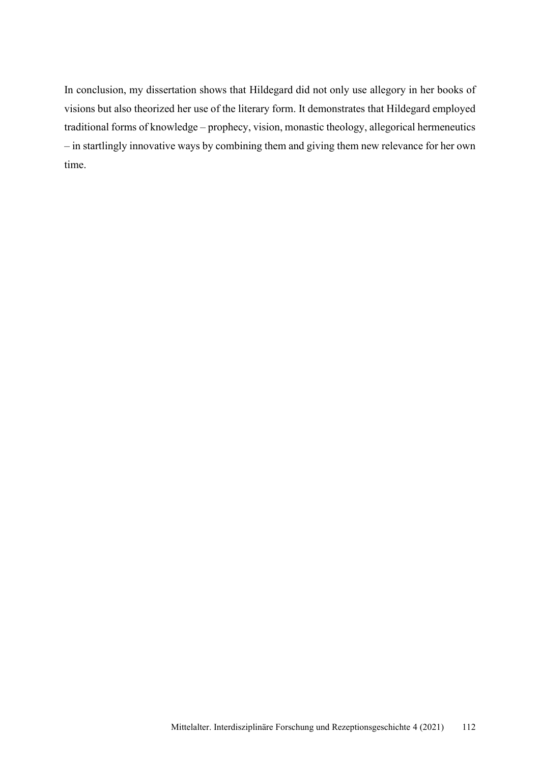In conclusion, my dissertation shows that Hildegard did not only use allegory in her books of visions but also theorized her use of the literary form. It demonstrates that Hildegard employed traditional forms of knowledge – prophecy, vision, monastic theology, allegorical hermeneutics – in startlingly innovative ways by combining them and giving them new relevance for her own time.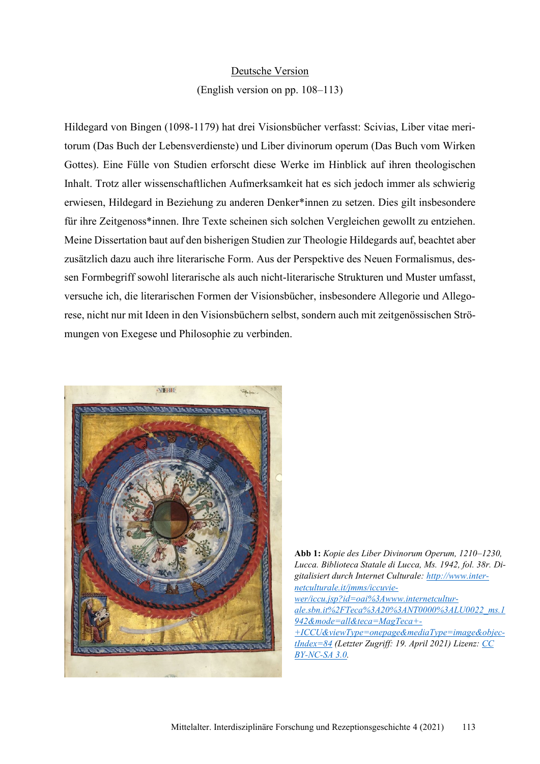### Deutsche Version

#### (English version on pp. 108–113)

Hildegard von Bingen (1098-1179) hat drei Visionsbücher verfasst: Scivias, Liber vitae meritorum (Das Buch der Lebensverdienste) und Liber divinorum operum (Das Buch vom Wirken Gottes). Eine Fülle von Studien erforscht diese Werke im Hinblick auf ihren theologischen Inhalt. Trotz aller wissenschaftlichen Aufmerksamkeit hat es sich jedoch immer als schwierig erwiesen, Hildegard in Beziehung zu anderen Denker\*innen zu setzen. Dies gilt insbesondere für ihre Zeitgenoss\*innen. Ihre Texte scheinen sich solchen Vergleichen gewollt zu entziehen. Meine Dissertation baut auf den bisherigen Studien zur Theologie Hildegards auf, beachtet aber zusätzlich dazu auch ihre literarische Form. Aus der Perspektive des Neuen Formalismus, dessen Formbegriff sowohl literarische als auch nicht-literarische Strukturen und Muster umfasst, versuche ich, die literarischen Formen der Visionsbücher, insbesondere Allegorie und Allegorese, nicht nur mit Ideen in den Visionsbüchern selbst, sondern auch mit zeitgenössischen Strömungen von Exegese und Philosophie zu verbinden.



**Abb 1:** *Kopie des Liber Divinorum Operum, 1210–1230, Lucca. Biblioteca Statale di Lucca, Ms. 1942, fol. 38r. Digitalisiert durch Internet Culturale: [http://www.inter](http://www.internetculturale.it/jmms/iccuviewer/iccu.jsp?id=oai%3Awww.internetculturale.sbn.it%2FTeca%3A20%3ANT0000%3ALU0022_ms.1942&mode=all&teca=MagTeca+-+ICCU&viewType=onepage&mediaType=image&objectIndex=84)[netculturale.it/jmms/iccuvie](http://www.internetculturale.it/jmms/iccuviewer/iccu.jsp?id=oai%3Awww.internetculturale.sbn.it%2FTeca%3A20%3ANT0000%3ALU0022_ms.1942&mode=all&teca=MagTeca+-+ICCU&viewType=onepage&mediaType=image&objectIndex=84)[wer/iccu.jsp?id=oai%3Awww.internetcultur](http://www.internetculturale.it/jmms/iccuviewer/iccu.jsp?id=oai%3Awww.internetculturale.sbn.it%2FTeca%3A20%3ANT0000%3ALU0022_ms.1942&mode=all&teca=MagTeca+-+ICCU&viewType=onepage&mediaType=image&objectIndex=84)[ale.sbn.it%2FTeca%3A20%3ANT0000%3ALU0022\\_ms.1](http://www.internetculturale.it/jmms/iccuviewer/iccu.jsp?id=oai%3Awww.internetculturale.sbn.it%2FTeca%3A20%3ANT0000%3ALU0022_ms.1942&mode=all&teca=MagTeca+-+ICCU&viewType=onepage&mediaType=image&objectIndex=84) [942&mode=all&teca=MagTeca+-](http://www.internetculturale.it/jmms/iccuviewer/iccu.jsp?id=oai%3Awww.internetculturale.sbn.it%2FTeca%3A20%3ANT0000%3ALU0022_ms.1942&mode=all&teca=MagTeca+-+ICCU&viewType=onepage&mediaType=image&objectIndex=84) [+ICCU&viewType=onepage&mediaType=image&objec](http://www.internetculturale.it/jmms/iccuviewer/iccu.jsp?id=oai%3Awww.internetculturale.sbn.it%2FTeca%3A20%3ANT0000%3ALU0022_ms.1942&mode=all&teca=MagTeca+-+ICCU&viewType=onepage&mediaType=image&objectIndex=84)[tIndex=84](http://www.internetculturale.it/jmms/iccuviewer/iccu.jsp?id=oai%3Awww.internetculturale.sbn.it%2FTeca%3A20%3ANT0000%3ALU0022_ms.1942&mode=all&teca=MagTeca+-+ICCU&viewType=onepage&mediaType=image&objectIndex=84) (Letzter Zugriff: 19. April 2021) Lizenz[: CC](https://creativecommons.org/licenses/by-nc-sa/3.0/it/deed.it)  [BY-NC-SA 3.0.](https://creativecommons.org/licenses/by-nc-sa/3.0/it/deed.it)*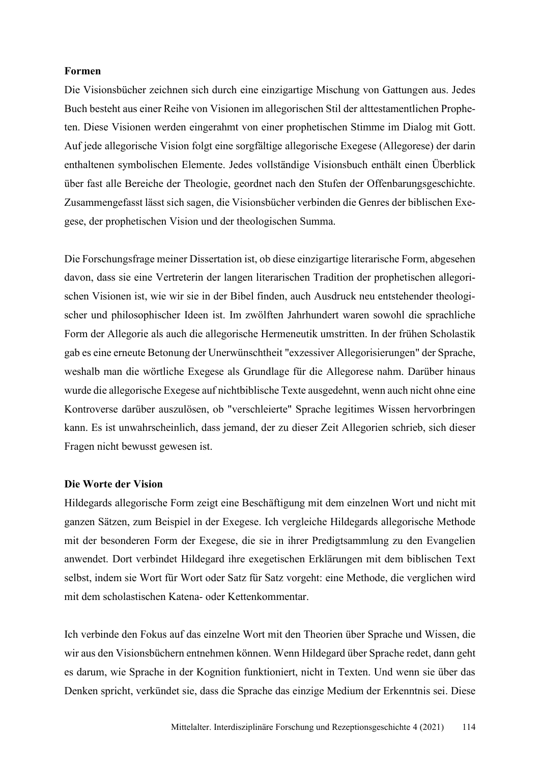## **Formen**

Die Visionsbücher zeichnen sich durch eine einzigartige Mischung von Gattungen aus. Jedes Buch besteht aus einer Reihe von Visionen im allegorischen Stil der alttestamentlichen Propheten. Diese Visionen werden eingerahmt von einer prophetischen Stimme im Dialog mit Gott. Auf jede allegorische Vision folgt eine sorgfältige allegorische Exegese (Allegorese) der darin enthaltenen symbolischen Elemente. Jedes vollständige Visionsbuch enthält einen Überblick über fast alle Bereiche der Theologie, geordnet nach den Stufen der Offenbarungsgeschichte. Zusammengefasst lässt sich sagen, die Visionsbücher verbinden die Genres der biblischen Exegese, der prophetischen Vision und der theologischen Summa.

Die Forschungsfrage meiner Dissertation ist, ob diese einzigartige literarische Form, abgesehen davon, dass sie eine Vertreterin der langen literarischen Tradition der prophetischen allegorischen Visionen ist, wie wir sie in der Bibel finden, auch Ausdruck neu entstehender theologischer und philosophischer Ideen ist. Im zwölften Jahrhundert waren sowohl die sprachliche Form der Allegorie als auch die allegorische Hermeneutik umstritten. In der frühen Scholastik gab es eine erneute Betonung der Unerwünschtheit "exzessiver Allegorisierungen" der Sprache, weshalb man die wörtliche Exegese als Grundlage für die Allegorese nahm. Darüber hinaus wurde die allegorische Exegese auf nichtbiblische Texte ausgedehnt, wenn auch nicht ohne eine Kontroverse darüber auszulösen, ob "verschleierte" Sprache legitimes Wissen hervorbringen kann. Es ist unwahrscheinlich, dass jemand, der zu dieser Zeit Allegorien schrieb, sich dieser Fragen nicht bewusst gewesen ist.

#### **Die Worte der Vision**

Hildegards allegorische Form zeigt eine Beschäftigung mit dem einzelnen Wort und nicht mit ganzen Sätzen, zum Beispiel in der Exegese. Ich vergleiche Hildegards allegorische Methode mit der besonderen Form der Exegese, die sie in ihrer Predigtsammlung zu den Evangelien anwendet. Dort verbindet Hildegard ihre exegetischen Erklärungen mit dem biblischen Text selbst, indem sie Wort für Wort oder Satz für Satz vorgeht: eine Methode, die verglichen wird mit dem scholastischen Katena- oder Kettenkommentar.

Ich verbinde den Fokus auf das einzelne Wort mit den Theorien über Sprache und Wissen, die wir aus den Visionsbüchern entnehmen können. Wenn Hildegard über Sprache redet, dann geht es darum, wie Sprache in der Kognition funktioniert, nicht in Texten. Und wenn sie über das Denken spricht, verkündet sie, dass die Sprache das einzige Medium der Erkenntnis sei. Diese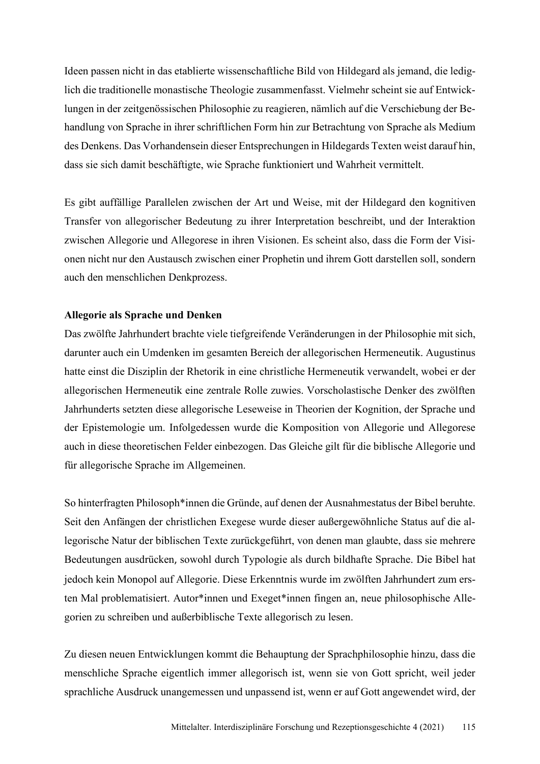Ideen passen nicht in das etablierte wissenschaftliche Bild von Hildegard als jemand, die lediglich die traditionelle monastische Theologie zusammenfasst. Vielmehr scheint sie auf Entwicklungen in der zeitgenössischen Philosophie zu reagieren, nämlich auf die Verschiebung der Behandlung von Sprache in ihrer schriftlichen Form hin zur Betrachtung von Sprache als Medium des Denkens. Das Vorhandensein dieser Entsprechungen in Hildegards Texten weist darauf hin, dass sie sich damit beschäftigte, wie Sprache funktioniert und Wahrheit vermittelt.

Es gibt auffällige Parallelen zwischen der Art und Weise, mit der Hildegard den kognitiven Transfer von allegorischer Bedeutung zu ihrer Interpretation beschreibt, und der Interaktion zwischen Allegorie und Allegorese in ihren Visionen. Es scheint also, dass die Form der Visionen nicht nur den Austausch zwischen einer Prophetin und ihrem Gott darstellen soll, sondern auch den menschlichen Denkprozess.

## **Allegorie als Sprache und Denken**

Das zwölfte Jahrhundert brachte viele tiefgreifende Veränderungen in der Philosophie mit sich, darunter auch ein Umdenken im gesamten Bereich der allegorischen Hermeneutik. Augustinus hatte einst die Disziplin der Rhetorik in eine christliche Hermeneutik verwandelt, wobei er der allegorischen Hermeneutik eine zentrale Rolle zuwies. Vorscholastische Denker des zwölften Jahrhunderts setzten diese allegorische Leseweise in Theorien der Kognition, der Sprache und der Epistemologie um. Infolgedessen wurde die Komposition von Allegorie und Allegorese auch in diese theoretischen Felder einbezogen. Das Gleiche gilt für die biblische Allegorie und für allegorische Sprache im Allgemeinen.

So hinterfragten Philosoph\*innen die Gründe, auf denen der Ausnahmestatus der Bibel beruhte. Seit den Anfängen der christlichen Exegese wurde dieser außergewöhnliche Status auf die allegorische Natur der biblischen Texte zurückgeführt, von denen man glaubte, dass sie mehrere Bedeutungen ausdrücken, sowohl durch Typologie als durch bildhafte Sprache. Die Bibel hat jedoch kein Monopol auf Allegorie. Diese Erkenntnis wurde im zwölften Jahrhundert zum ersten Mal problematisiert. Autor\*innen und Exeget\*innen fingen an, neue philosophische Allegorien zu schreiben und außerbiblische Texte allegorisch zu lesen.

Zu diesen neuen Entwicklungen kommt die Behauptung der Sprachphilosophie hinzu, dass die menschliche Sprache eigentlich immer allegorisch ist, wenn sie von Gott spricht, weil jeder sprachliche Ausdruck unangemessen und unpassend ist, wenn er auf Gott angewendet wird, der